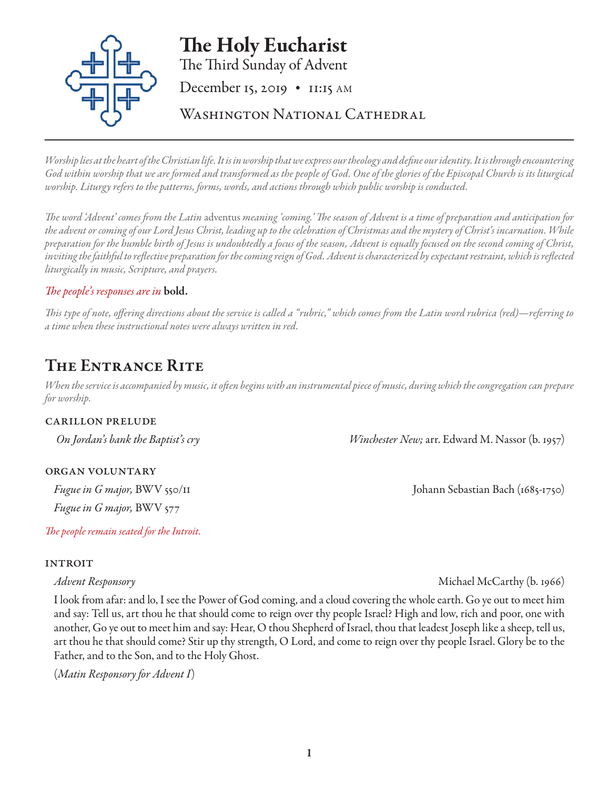# The Holy Eucharist



*Worship lies at the heart of the Christian life. It is in worship that we express our theology and define our identity. It is through encountering God within worship that we are formed and transformed as the people of God. One of the glories of the Episcopal Church is its liturgical worship. Liturgy refers to the patterns, forms, words, and actions through which public worship is conducted.* 

*The word 'Advent' comes from the Latin* adventus *meaning 'coming.' The season of Advent is a time of preparation and anticipation for the advent or coming of our Lord Jesus Christ, leading up to the celebration of Christmas and the mystery of Christ's incarnation. While preparation for the humble birth of Jesus is undoubtedly a focus of the season, Advent is equally focused on the second coming of Christ, inviting the faithful to reflective preparation for the coming reign of God. Advent is characterized by expectant restraint, which is reflected liturgically in music, Scripture, and prayers.* 

# *The people's responses are in* bold.

*This type of note, offering directions about the service is called a "rubric," which comes from the Latin word rubrica (red)—referring to a time when these instructional notes were always written in red.*

# The Entrance Rite

*When the service is accompanied by music, it often begins with an instrumental piece of music, during which the congregation can prepare for worship.*

# carillon prelude

organ voluntary

*Fugue in G major,* BWV 577

*The people remain seated for the Introit.*

# **INTROIT**

I look from afar: and lo, I see the Power of God coming, and a cloud covering the whole earth. Go ye out to meet him and say: Tell us, art thou he that should come to reign over thy people Israel? High and low, rich and poor, one with another, Go ye out to meet him and say: Hear, O thou Shepherd of Israel, thou that leadest Joseph like a sheep, tell us, art thou he that should come? Stir up thy strength, O Lord, and come to reign over thy people Israel. Glory be to the Father, and to the Son, and to the Holy Ghost.

(*Matin Responsory for Advent I*)

 *On Jordan's bank the Baptist's cry Winchester New;* arr. Edward M. Nassor (b. 1957)

*Fugue in G major*, BWV 550/II Johann Sebastian Bach (1685-1750)

*Advent Responsory* Michael McCarthy (b. 1966)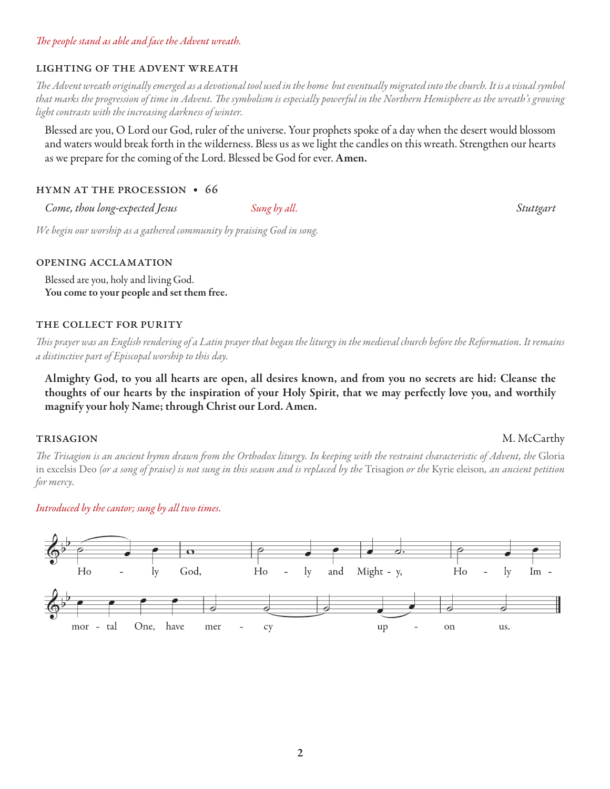# *The people stand as able and face the Advent wreath.*

#### lighting of the advent wreath

*The Advent wreath originally emerged as a devotional tool used in the home but eventually migrated into the church. It is a visual symbol that marks the progression of time in Advent. The symbolism is especially powerful in the Northern Hemisphere as the wreath's growing light contrasts with the increasing darkness of winter.* 

Blessed are you, O Lord our God, ruler of the universe. Your prophets spoke of a day when the desert would blossom and waters would break forth in the wilderness. Bless us as we light the candles on this wreath. Strengthen our hearts as we prepare for the coming of the Lord. Blessed be God for ever. Amen.

#### hymn at the procession • 66

*Come, thou long-expected Jesus Sung by all. Stuttgart* 

*We begin our worship as a gathered community by praising God in song.*

#### opening acclamation

Blessed are you, holy and living God. You come to your people and set them free.

#### THE COLLECT FOR PURITY

*This prayer was an English rendering of a Latin prayer that began the liturgy in the medieval church before the Reformation. It remains a distinctive part of Episcopal worship to this day.*

Almighty God, to you all hearts are open, all desires known, and from you no secrets are hid: Cleanse the thoughts of our hearts by the inspiration of your Holy Spirit, that we may perfectly love you, and worthily magnify your holy Name; through Christ our Lord. Amen.

# trisagion M. McCarthy

*The Trisagion is an ancient hymn drawn from the Orthodox liturgy. In keeping with the restraint characteristic of Advent, the* Gloria in excelsis Deo *(or a song of praise) is not sung in this season and is replaced by the* Trisagion *or the* Kyrie eleison*, an ancient petition for mercy.*

# *Introduced by the cantor; sung by all two times.*

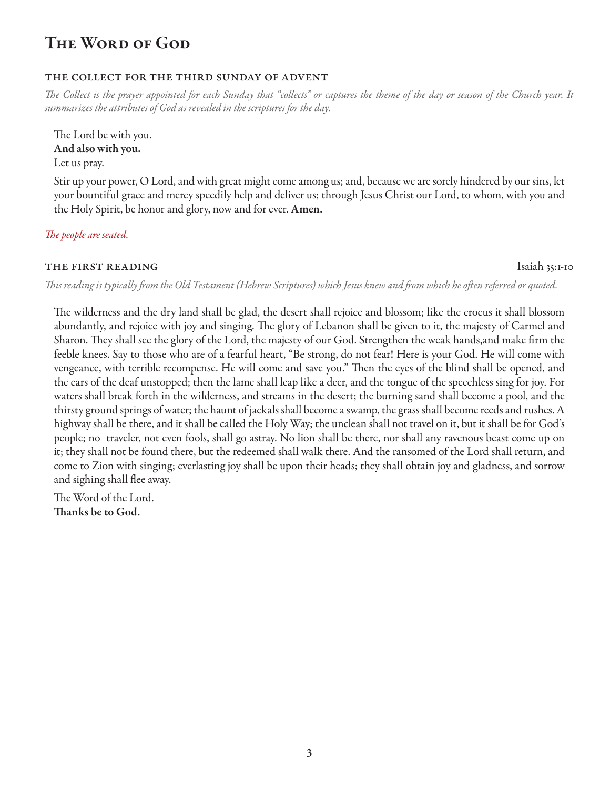# THE WORD OF GOD

# the collect for the third sunday of advent

*The Collect is the prayer appointed for each Sunday that "collects" or captures the theme of the day or season of the Church year. It summarizes the attributes of God as revealed in the scriptures for the day.*

The Lord be with you. And also with you. Let us pray.

Stir up your power, O Lord, and with great might come among us; and, because we are sorely hindered by our sins, let your bountiful grace and mercy speedily help and deliver us; through Jesus Christ our Lord, to whom, with you and the Holy Spirit, be honor and glory, now and for ever. Amen.

*The people are seated.* 

# **THE FIRST READING** Isaiah 35:1-10

*This reading is typically from the Old Testament (Hebrew Scriptures) which Jesus knew and from which he often referred or quoted.*

The wilderness and the dry land shall be glad, the desert shall rejoice and blossom; like the crocus it shall blossom abundantly, and rejoice with joy and singing. The glory of Lebanon shall be given to it, the majesty of Carmel and Sharon. They shall see the glory of the Lord, the majesty of our God. Strengthen the weak hands,and make firm the feeble knees. Say to those who are of a fearful heart, "Be strong, do not fear! Here is your God. He will come with vengeance, with terrible recompense. He will come and save you." Then the eyes of the blind shall be opened, and the ears of the deaf unstopped; then the lame shall leap like a deer, and the tongue of the speechless sing for joy. For waters shall break forth in the wilderness, and streams in the desert; the burning sand shall become a pool, and the thirsty ground springs of water; the haunt of jackals shall become a swamp, the grass shall become reeds and rushes. A highway shall be there, and it shall be called the Holy Way; the unclean shall not travel on it, but it shall be for God's people; no traveler, not even fools, shall go astray. No lion shall be there, nor shall any ravenous beast come up on it; they shall not be found there, but the redeemed shall walk there. And the ransomed of the Lord shall return, and come to Zion with singing; everlasting joy shall be upon their heads; they shall obtain joy and gladness, and sorrow and sighing shall flee away.

The Word of the Lord. Thanks be to God.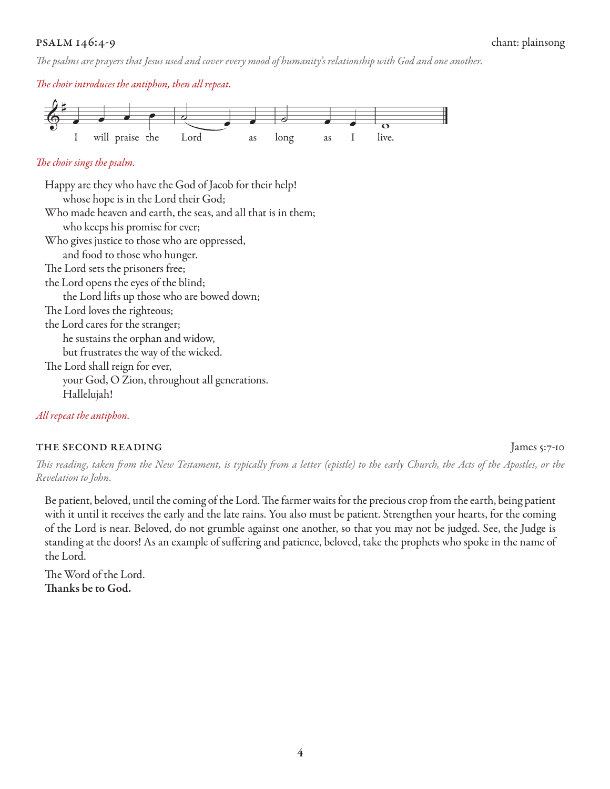# psalm 146:4-9 chant: plainsong

*The psalms are prayers that Jesus used and cover every mood of humanity's relationship with God and one another.*

*The choir introduces the antiphon, then all repeat.*



# *The choir sings the psalm.*

Happy are they who have the God of Jacob for their help! whose hope is in the Lord their God; Who made heaven and earth, the seas, and all that is in them; who keeps his promise for ever; Who gives justice to those who are oppressed, and food to those who hunger. The Lord sets the prisoners free; the Lord opens the eyes of the blind; the Lord lifts up those who are bowed down; The Lord loves the righteous; the Lord cares for the stranger; he sustains the orphan and widow, but frustrates the way of the wicked. The Lord shall reign for ever, your God, O Zion, throughout all generations. Hallelujah!

*All repeat the antiphon.* 

# THE SECOND READING James 5:7-10

*This reading, taken from the New Testament, is typically from a letter (epistle) to the early Church, the Acts of the Apostles, or the Revelation to John.*

Be patient, beloved, until the coming of the Lord. The farmer waits for the precious crop from the earth, being patient with it until it receives the early and the late rains. You also must be patient. Strengthen your hearts, for the coming of the Lord is near. Beloved, do not grumble against one another, so that you may not be judged. See, the Judge is standing at the doors! As an example of suffering and patience, beloved, take the prophets who spoke in the name of the Lord.

The Word of the Lord. Thanks be to God.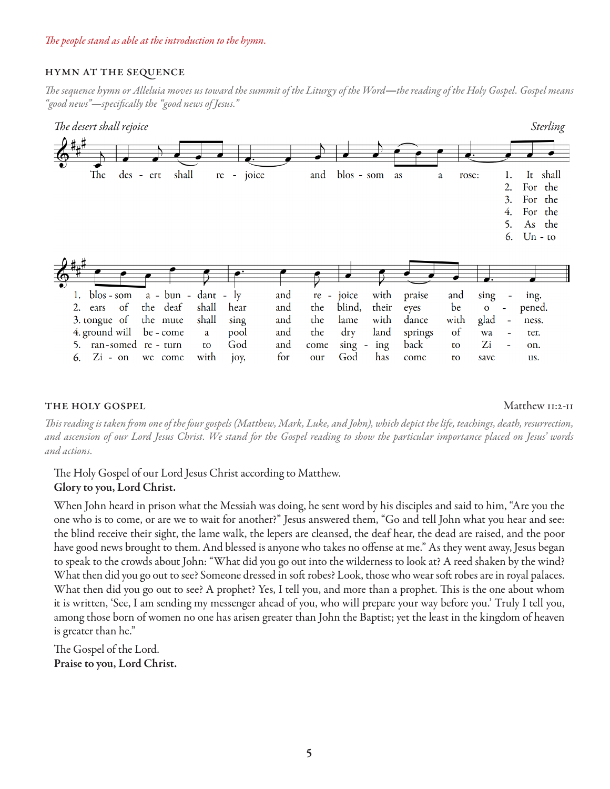# hymn at the sequence

*The sequence hymn or Alleluia moves us toward the summit of the Liturgy of the Word*—*the reading of the Holy Gospel. Gospel means "good news"—specifically the "good news of Jesus."* 



### THE HOLY GOSPEL THE HOLY GOSPEL

*This reading is taken from one of the four gospels (Matthew, Mark, Luke, and John), which depict the life, teachings, death, resurrection, and ascension of our Lord Jesus Christ. We stand for the Gospel reading to show the particular importance placed on Jesus' words and actions.*

The Holy Gospel of our Lord Jesus Christ according to Matthew.

# Glory to you, Lord Christ.

When John heard in prison what the Messiah was doing, he sent word by his disciples and said to him, "Are you the one who is to come, or are we to wait for another?" Jesus answered them, "Go and tell John what you hear and see: the blind receive their sight, the lame walk, the lepers are cleansed, the deaf hear, the dead are raised, and the poor have good news brought to them. And blessed is anyone who takes no offense at me." As they went away, Jesus began to speak to the crowds about John: "What did you go out into the wilderness to look at? A reed shaken by the wind? What then did you go out to see? Someone dressed in soft robes? Look, those who wear soft robes are in royal palaces. What then did you go out to see? A prophet? Yes, I tell you, and more than a prophet. This is the one about whom it is written, 'See, I am sending my messenger ahead of you, who will prepare your way before you.' Truly I tell you, among those born of women no one has arisen greater than John the Baptist; yet the least in the kingdom of heaven is greater than he."

The Gospel of the Lord. Praise to you, Lord Christ.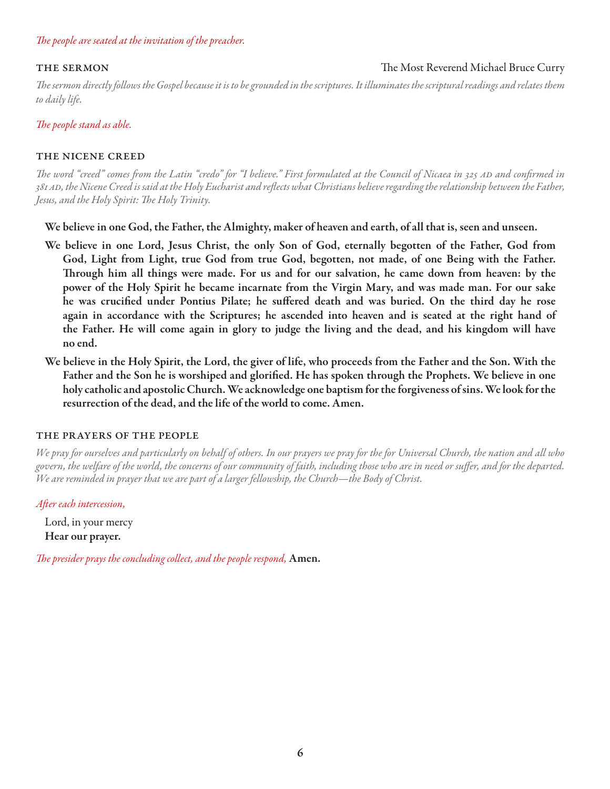### *The people are seated at the invitation of the preacher.*

### THE SERMON GERMON CULLENSING THE MOST REVERSE IN THE MOST REVERSE IN THE MOST REVERSE IN THE MOST REVERSE IN THE MOST REVERSE IN THE MOST REVERSE IN THE MOST REVERSE IN THE MOST REVERSE IN THE MOST REVERSE IN THE MOST REVE

*The sermon directly follows the Gospel because it is to be grounded in the scriptures. It illuminates the scriptural readings and relates them to daily life.*

#### *The people stand as able.*

#### the nicene creed

The word "creed" comes from the Latin "credo" for "I believe." First formulated at the Council of Nicaea in 325 AD and confirmed in *381ad, the Nicene Creed is said at the Holy Eucharist and reflects what Christians believe regarding the relationship between the Father, Jesus, and the Holy Spirit: The Holy Trinity.*

We believe in one God, the Father, the Almighty, maker of heaven and earth, of all that is, seen and unseen.

- We believe in one Lord, Jesus Christ, the only Son of God, eternally begotten of the Father, God from God, Light from Light, true God from true God, begotten, not made, of one Being with the Father. Through him all things were made. For us and for our salvation, he came down from heaven: by the power of the Holy Spirit he became incarnate from the Virgin Mary, and was made man. For our sake he was crucified under Pontius Pilate; he suffered death and was buried. On the third day he rose again in accordance with the Scriptures; he ascended into heaven and is seated at the right hand of the Father. He will come again in glory to judge the living and the dead, and his kingdom will have no end.
- We believe in the Holy Spirit, the Lord, the giver of life, who proceeds from the Father and the Son. With the Father and the Son he is worshiped and glorified. He has spoken through the Prophets. We believe in one holy catholic and apostolic Church. We acknowledge one baptism for the forgiveness of sins. We look for the resurrection of the dead, and the life of the world to come. Amen.

#### the prayers of the people

*We pray for ourselves and particularly on behalf of others. In our prayers we pray for the for Universal Church, the nation and all who govern, the welfare of the world, the concerns of our community of faith, including those who are in need or suffer, and for the departed. We are reminded in prayer that we are part of a larger fellowship, the Church—the Body of Christ.*

*After each intercession,*

Lord, in your mercy Hear our prayer.

*The presider prays the concluding collect, and the people respond,* Amen.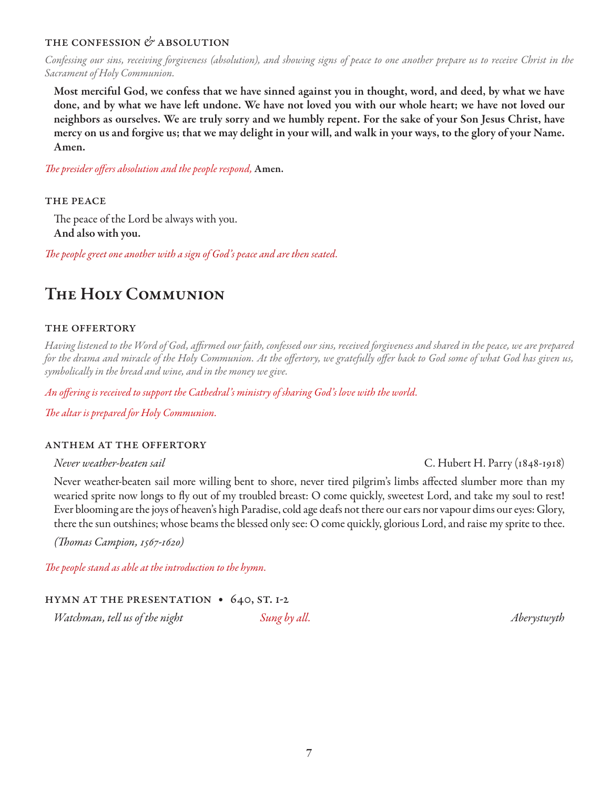# the confession *&* absolution

*Confessing our sins, receiving forgiveness (absolution), and showing signs of peace to one another prepare us to receive Christ in the Sacrament of Holy Communion.*

Most merciful God, we confess that we have sinned against you in thought, word, and deed, by what we have done, and by what we have left undone. We have not loved you with our whole heart; we have not loved our neighbors as ourselves. We are truly sorry and we humbly repent. For the sake of your Son Jesus Christ, have mercy on us and forgive us; that we may delight in your will, and walk in your ways, to the glory of your Name. Amen.

*The presider offers absolution and the people respond,* Amen.

#### THE PEACE

The peace of the Lord be always with you. And also with you.

*The people greet one another with a sign of God's peace and are then seated.*

# The Holy Communion

# the offertory

*Having listened to the Word of God, affirmed our faith, confessed our sins, received forgiveness and shared in the peace, we are prepared for the drama and miracle of the Holy Communion. At the offertory, we gratefully offer back to God some of what God has given us, symbolically in the bread and wine, and in the money we give.* 

*An offering is received to support the Cathedral's ministry of sharing God's love with the world.*

*The altar is prepared for Holy Communion.*

#### anthem at the offertory

Never weather-beaten sail more willing bent to shore, never tired pilgrim's limbs affected slumber more than my wearied sprite now longs to fly out of my troubled breast: O come quickly, sweetest Lord, and take my soul to rest! Ever blooming are the joys of heaven's high Paradise, cold age deafs not there our ears nor vapour dims our eyes: Glory, there the sun outshines; whose beams the blessed only see: O come quickly, glorious Lord, and raise my sprite to thee.

*(Thomas Campion, 1567-1620)*

*The people stand as able at the introduction to the hymn.* 

# hymn at the presentation • 640, st. 1-2

*Watchman, tell us of the night Sung by all. Aberystwyth*

*Never weather-beaten sail* C. Hubert H. Parry (1848-1918)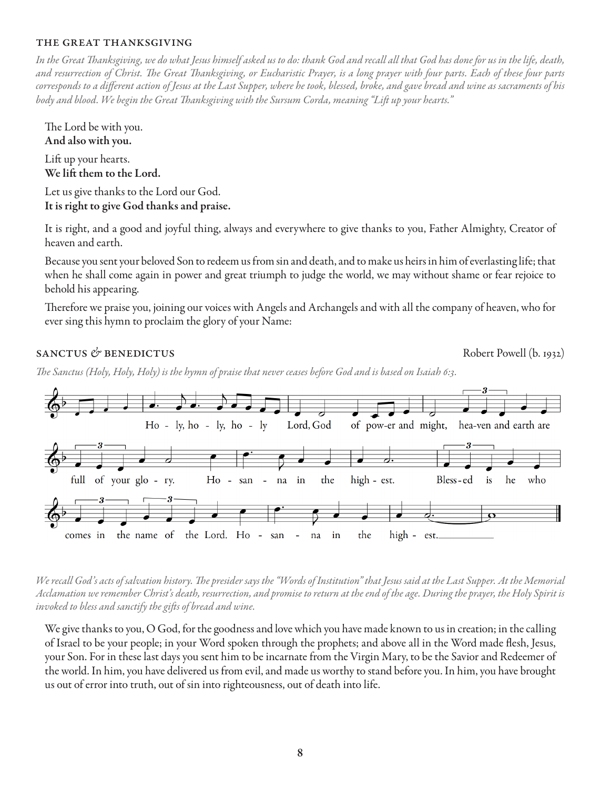### the great thanksgiving

*In the Great Thanksgiving, we do what Jesus himself asked us to do: thank God and recall all that God has done for us in the life, death, and resurrection of Christ. The Great Thanksgiving, or Eucharistic Prayer, is a long prayer with four parts. Each of these four parts corresponds to a different action of Jesus at the Last Supper, where he took, blessed, broke, and gave bread and wine as sacraments of his body and blood. We begin the Great Thanksgiving with the Sursum Corda, meaning "Lift up your hearts."* 

The Lord be with you. And also with you.

Lift up your hearts. We lift them to the Lord.

Let us give thanks to the Lord our God. It is right to give God thanks and praise.

It is right, and a good and joyful thing, always and everywhere to give thanks to you, Father Almighty, Creator of heaven and earth.

Because you sent your beloved Son to redeem us from sin and death, and to make us heirs in him of everlasting life; that when he shall come again in power and great triumph to judge the world, we may without shame or fear rejoice to behold his appearing.

Therefore we praise you, joining our voices with Angels and Archangels and with all the company of heaven, who for ever sing this hymn to proclaim the glory of your Name:

# sanctus & benedictus **contains a set of the Robert Powell** (b. 1932)

*The Sanctus (Holy, Holy, Holy) is the hymn of praise that never ceases before God and is based on Isaiah 6:3.*



*We recall God's acts of salvation history. The presider says the "Words of Institution" that Jesus said at the Last Supper. At the Memorial Acclamation we remember Christ's death, resurrection, and promise to return at the end of the age. During the prayer, the Holy Spirit is invoked to bless and sanctify the gifts of bread and wine.*

We give thanks to you, O God, for the goodness and love which you have made known to us in creation; in the calling of Israel to be your people; in your Word spoken through the prophets; and above all in the Word made flesh, Jesus, your Son. For in these last days you sent him to be incarnate from the Virgin Mary, to be the Savior and Redeemer of the world. In him, you have delivered us from evil, and made us worthy to stand before you. In him, you have brought us out of error into truth, out of sin into righteousness, out of death into life.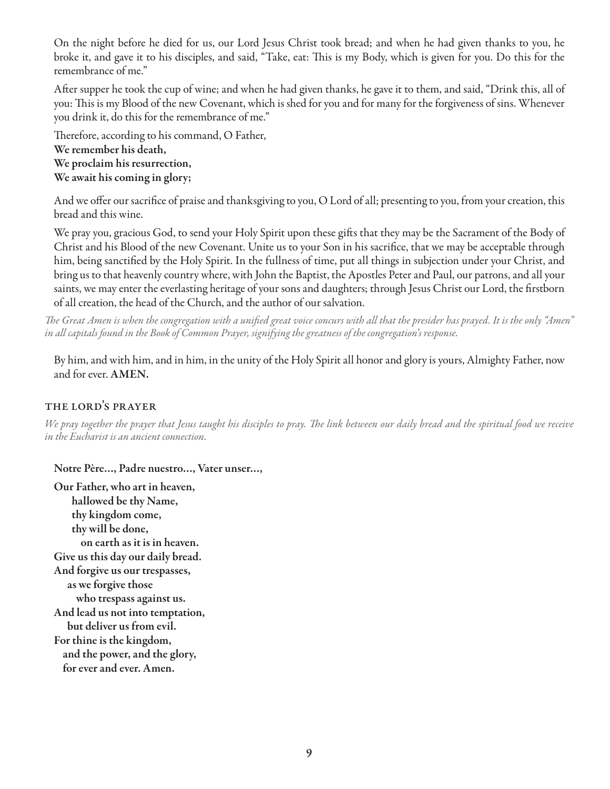On the night before he died for us, our Lord Jesus Christ took bread; and when he had given thanks to you, he broke it, and gave it to his disciples, and said, "Take, eat: This is my Body, which is given for you. Do this for the remembrance of me."

After supper he took the cup of wine; and when he had given thanks, he gave it to them, and said, "Drink this, all of you: This is my Blood of the new Covenant, which is shed for you and for many for the forgiveness of sins. Whenever you drink it, do this for the remembrance of me."

Therefore, according to his command, O Father, We remember his death, We proclaim his resurrection, We await his coming in glory;

And we offer our sacrifice of praise and thanksgiving to you, O Lord of all; presenting to you, from your creation, this bread and this wine.

We pray you, gracious God, to send your Holy Spirit upon these gifts that they may be the Sacrament of the Body of Christ and his Blood of the new Covenant. Unite us to your Son in his sacrifice, that we may be acceptable through him, being sanctified by the Holy Spirit. In the fullness of time, put all things in subjection under your Christ, and bring us to that heavenly country where, with John the Baptist, the Apostles Peter and Paul, our patrons, and all your saints, we may enter the everlasting heritage of your sons and daughters; through Jesus Christ our Lord, the firstborn of all creation, the head of the Church, and the author of our salvation.

*The Great Amen is when the congregation with a unified great voice concurs with all that the presider has prayed. It is the only "Amen" in all capitals found in the Book of Common Prayer, signifying the greatness of the congregation's response.* 

By him, and with him, and in him, in the unity of the Holy Spirit all honor and glory is yours, Almighty Father, now and for ever. AMEN.

# the lord's prayer

*We pray together the prayer that Jesus taught his disciples to pray. The link between our daily bread and the spiritual food we receive in the Eucharist is an ancient connection.*

# Notre Père…, Padre nuestro…, Vater unser…,

Our Father, who art in heaven, hallowed be thy Name, thy kingdom come, thy will be done, on earth as it is in heaven. Give us this day our daily bread. And forgive us our trespasses, as we forgive those who trespass against us. And lead us not into temptation, but deliver us from evil. For thine is the kingdom, and the power, and the glory, for ever and ever. Amen.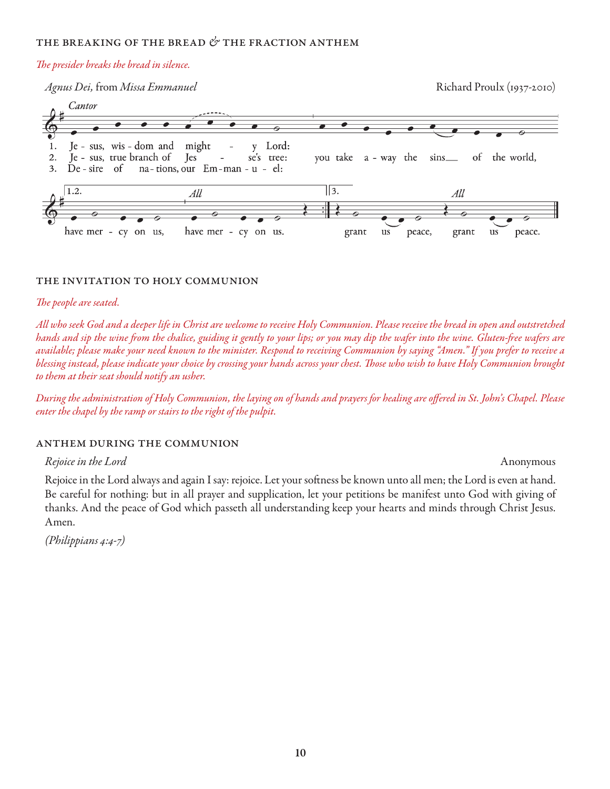#### the breaking of the bread *&* the fraction anthem

#### *The presider breaks the bread in silence.*



#### the invitation to holy communion

#### *The people are seated.*

*All who seek God and a deeper life in Christ are welcome to receive Holy Communion. Please receive the bread in open and outstretched hands and sip the wine from the chalice, guiding it gently to your lips; or you may dip the wafer into the wine. Gluten-free wafers are available; please make your need known to the minister. Respond to receiving Communion by saying "Amen." If you prefer to receive a blessing instead, please indicate your choice by crossing your hands across your chest. Those who wish to have Holy Communion brought to them at their seat should notify an usher.* 

*During the administration of Holy Communion, the laying on of hands and prayers for healing are offered in St. John's Chapel. Please enter the chapel by the ramp or stairs to the right of the pulpit.*

#### anthem during the communion

#### *Rejoice in the Lord* Anonymous

Rejoice in the Lord always and again I say: rejoice. Let your softness be known unto all men; the Lord is even at hand. Be careful for nothing: but in all prayer and supplication, let your petitions be manifest unto God with giving of thanks. And the peace of God which passeth all understanding keep your hearts and minds through Christ Jesus. Amen.

*(Philippians 4:4-7)*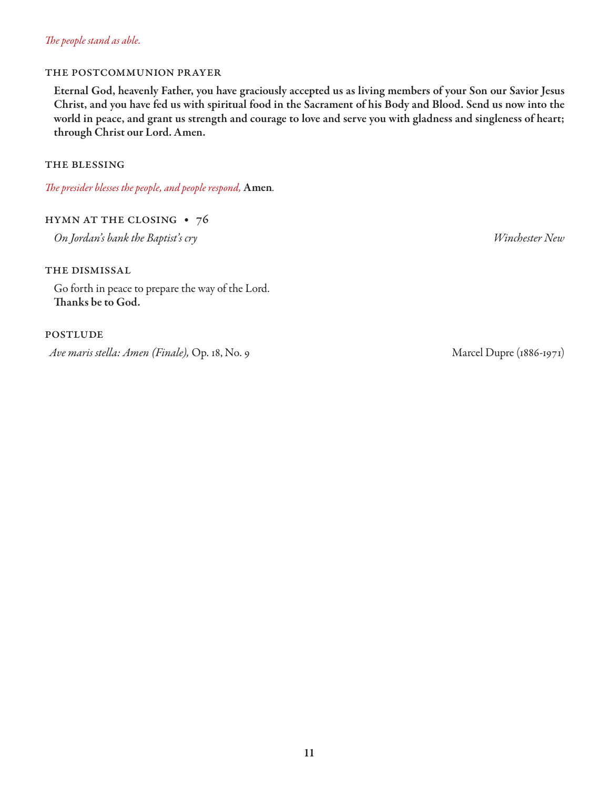# *The people stand as able.*

# the postcommunion prayer

Eternal God, heavenly Father, you have graciously accepted us as living members of your Son our Savior Jesus Christ, and you have fed us with spiritual food in the Sacrament of his Body and Blood. Send us now into the world in peace, and grant us strength and courage to love and serve you with gladness and singleness of heart; through Christ our Lord. Amen.

### the blessing

*The presider blesses the people, and people respond,* Amen*.*

# hymn at the closing • 76

*On Jordan's bank the Baptist's cry Winchester New*

# the dismissal

Go forth in peace to prepare the way of the Lord. Thanks be to God.

# **POSTLUDE**

*Ave maris stella: Amen (Finale), Op. 18, No. 9* Marcel Dupre (1886-1971)